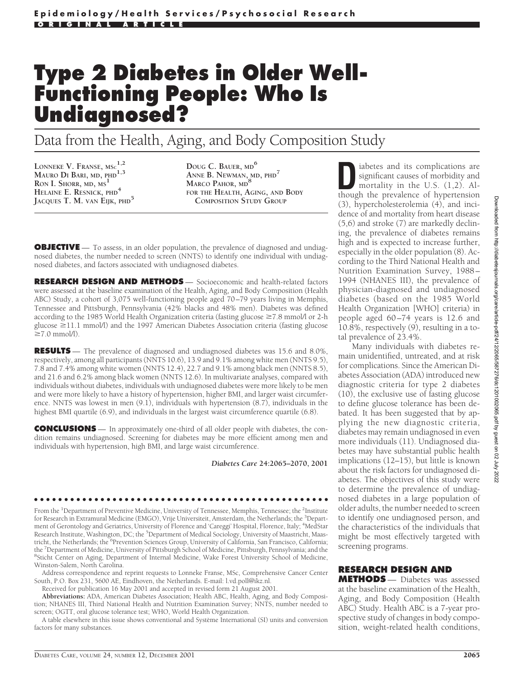# **Type 2 Diabetes in Older Well-Functioning People: Who Is Undiagnosed?**

# Data from the Health, Aging, and Body Composition Study

**LONNEKE V. FRANSE, MSC 1,2 MAURO DI BARI, MD, PHD1,3 RON I. SHORR, MD, MS<sup>1</sup> HELAINE E. RESNICK, PHD<sup>4</sup> JACQUES T. M. VAN EIJK, PHD<sup>5</sup>** **DOUG C. BAUER, MD<sup>6</sup> ANNE B. NEWMAN, MD, PHD<sup>7</sup> MARCO PAHOR, MD<sup>8</sup> FOR THE HEALTH, AGING, AND BODY COMPOSITION STUDY GROUP**

**OBJECTIVE** — To assess, in an older population, the prevalence of diagnosed and undiagnosed diabetes, the number needed to screen (NNTS) to identify one individual with undiagnosed diabetes, and factors associated with undiagnosed diabetes.

**RESEARCH DESIGN AND METHODS** — Socioeconomic and health-related factors were assessed at the baseline examination of the Health, Aging, and Body Composition (Health ABC) Study, a cohort of 3,075 well-functioning people aged 70–79 years living in Memphis, Tennessee and Pittsburgh, Pennsylvania (42% blacks and 48% men). Diabetes was defined according to the 1985 World Health Organization criteria (fasting glucose  $\geq 7.8$  mmol/l or 2-h glucose  $\geq$ 11.1 mmol/l) and the 1997 American Diabetes Association criteria (fasting glucose  $\geq 7.0$  mmol/l).

**RESULTS** — The prevalence of diagnosed and undiagnosed diabetes was 15.6 and 8.0%, respectively, among all participants (NNTS 10.6), 13.9 and 9.1% among white men (NNTS 9.5), 7.8 and 7.4% among white women (NNTS 12.4), 22.7 and 9.1% among black men (NNTS 8.5), and 21.6 and 6.2% among black women (NNTS 12.6). In multivariate analyses, compared with individuals without diabetes, individuals with undiagnosed diabetes were more likely to be men and were more likely to have a history of hypertension, higher BMI, and larger waist circumference. NNTS was lowest in men (9.1), individuals with hypertension (8.7), individuals in the highest BMI quartile (6.9), and individuals in the largest waist circumference quartile (6.8).

**CONCLUSIONS** — In approximately one-third of all older people with diabetes, the condition remains undiagnosed. Screening for diabetes may be more efficient among men and individuals with hypertension, high BMI, and large waist circumference.

*Diabetes Care* **24:2065–2070, 2001**

●●●●●●●●●●●●●●●●●●●●●●●●●●●●●●●●●●●●●●●●●●●●●●●●● From the <sup>1</sup>Department of Preventive Medicine, University of Tennessee, Memphis, Tennessee; the <sup>2</sup>Institute for Research in Extramural Medicine (EMGO), Vrije Universiteit, Amsterdam, the Netherlands; the <sup>3</sup>Department of Gerontology and Geriatrics, University of Florence and 'Careggi' Hospital, Florence, Italy; <sup>4</sup>MedStar Research Institute, Washington, DC; the <sup>5</sup>Department of Medical Sociology, University of Maastricht, Maastricht, the Netherlands; the <sup>6</sup>Prevention Sciences Group, University of California, San Francisco, California; the <sup>7</sup>Department of Medicine, University of Pittsburgh School of Medicine, Pittsburgh, Pennsylvania; and the<br><sup>8</sup>Sticht Center on Aging, Department of Internal Medicine, Wake Forest University School of Medicine <sup>8</sup>Sticht Center on Aging, Department of Internal Medicine, Wake Forest University School of Medicine, Winston-Salem, North Carolina.

Address correspondence and reprint requests to Lonneke Franse, MSc, Comprehensive Cancer Center South, P.O. Box 231, 5600 AE, Eindhoven, the Netherlands. E-mail: l.vd.poll@ikz.nl.

Received for publication 16 May 2001 and accepted in revised form 21 August 2001.

**Abbreviations:** ADA, American Diabetes Association; Health ABC, Health, Aging, and Body Composition; NHANES III, Third National Health and Nutrition Examination Survey; NNTS, number needed to screen; OGTT, oral glucose tolerance test; WHO, World Health Organization.

A table elsewhere in this issue shows conventional and Système International (SI) units and conversion factors for many substances.

iabetes and its complications are significant causes of morbidity and mortality in the U.S. (1,2). Although the prevalence of hypertension (3), hypercholesterolemia (4), and incidence of and mortality from heart disease (5,6) and stroke (7) are markedly declining, the prevalence of diabetes remains high and is expected to increase further, especially in the older population (8). According to the Third National Health and Nutrition Examination Survey, 1988– 1994 (NHANES III), the prevalence of physician-diagnosed and undiagnosed diabetes (based on the 1985 World Health Organization [WHO] criteria) in people aged 60–74 years is 12.6 and 10.8%, respectively (9), resulting in a total prevalence of 23.4%.

Many individuals with diabetes remain unidentified, untreated, and at risk for complications. Since the American Diabetes Association (ADA) introduced new diagnostic criteria for type 2 diabetes (10), the exclusive use of fasting glucose to define glucose tolerance has been debated. It has been suggested that by applying the new diagnostic criteria, diabetes may remain undiagnosed in even more individuals (11). Undiagnosed diabetes may have substantial public health implications (12–15), but little is known about the risk factors for undiagnosed diabetes. The objectives of this study were to determine the prevalence of undiagnosed diabetes in a large population of older adults, the number needed to screen to identify one undiagnosed person, and the characteristics of the individuals that might be most effectively targeted with screening programs.

# **RESEARCH DESIGN AND**

**METHODS** — Diabetes was assessed at the baseline examination of the Health, Aging, and Body Composition (Health ABC) Study. Health ABC is a 7-year prospective study of changes in body composition, weight-related health conditions,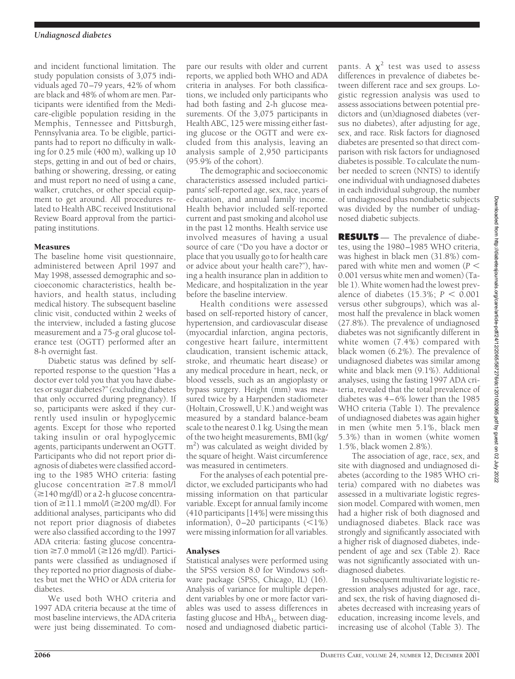and incident functional limitation. The study population consists of 3,075 individuals aged 70–79 years, 42% of whom are black and 48% of whom are men. Participants were identified from the Medicare-eligible population residing in the Memphis, Tennessee and Pittsburgh, Pennsylvania area. To be eligible, participants had to report no difficulty in walking for 0.25 mile (400 m), walking up 10 steps, getting in and out of bed or chairs, bathing or showering, dressing, or eating and must report no need of using a cane, walker, crutches, or other special equipment to get around. All procedures related to Health ABC received Institutional Review Board approval from the participating institutions.

### Measures

The baseline home visit questionnaire, administered between April 1997 and May 1998, assessed demographic and socioeconomic characteristics, health behaviors, and health status, including medical history. The subsequent baseline clinic visit, conducted within 2 weeks of the interview, included a fasting glucose measurement and a 75-g oral glucose tolerance test (OGTT) performed after an 8-h overnight fast.

Diabetic status was defined by selfreported response to the question "Has a doctor ever told you that you have diabetes or sugar diabetes?"(excluding diabetes that only occurred during pregnancy). If so, participants were asked if they currently used insulin or hypoglycemic agents. Except for those who reported taking insulin or oral hypoglycemic agents, participants underwent an OGTT. Participants who did not report prior diagnosis of diabetes were classified according to the 1985 WHO criteria: fasting glucose concentration  $\geq 7.8$  mmol/l  $(\geq 140 \text{ mg/dl})$  or a 2-h glucose concentration of  $\geq$ 11.1 mmol/l ( $\geq$ 200 mg/dl). For additional analyses, participants who did not report prior diagnosis of diabetes were also classified according to the 1997 ADA criteria: fasting glucose concentration  $\geq$ 7.0 mmol/l ( $\geq$ 126 mg/dl). Participants were classified as undiagnosed if they reported no prior diagnosis of diabetes but met the WHO or ADA criteria for diabetes.

We used both WHO criteria and 1997 ADA criteria because at the time of most baseline interviews, the ADA criteria were just being disseminated. To com-

pare our results with older and current reports, we applied both WHO and ADA criteria in analyses. For both classifications, we included only participants who had both fasting and 2-h glucose measurements. Of the 3,075 participants in Health ABC, 125 were missing either fasting glucose or the OGTT and were excluded from this analysis, leaving an analysis sample of 2,950 participants (95.9% of the cohort).

The demographic and socioeconomic characteristics assessed included participants' self-reported age, sex, race, years of education, and annual family income. Health behavior included self-reported current and past smoking and alcohol use in the past 12 months. Health service use involved measures of having a usual source of care ("Do you have a doctor or place that you usually go to for health care or advice about your health care?"), having a health insurance plan in addition to Medicare, and hospitalization in the year before the baseline interview.

Health conditions were assessed based on self-reported history of cancer, hypertension, and cardiovascular disease (myocardial infarction, angina pectoris, congestive heart failure, intermittent claudication, transient ischemic attack, stroke, and rheumatic heart disease) or any medical procedure in heart, neck, or blood vessels, such as an angioplasty or bypass surgery. Height (mm) was measured twice by a Harpenden stadiometer (Holtain, Crosswell, U.K.) and weight was measured by a standard balance-beam scale to the nearest 0.1 kg. Using the mean of the two height measurements, BMI (kg/ m<sup>2</sup>) was calculated as weight divided by the square of height. Waist circumference was measured in centimeters.

For the analyses of each potential predictor, we excluded participants who had missing information on that particular variable. Except for annual family income (410 participants [14%] were missing this information),  $0-20$  participants  $(\leq 1\%)$ were missing information for all variables.

### Analyses

Statistical analyses were performed using the SPSS version 8.0 for Windows software package (SPSS, Chicago, IL) (16). Analysis of variance for multiple dependent variables by one or more factor variables was used to assess differences in fasting glucose and  $HbA_{1c}$  between diagnosed and undiagnosed diabetic partici-

pants. A  $\chi^2$  test was used to assess differences in prevalence of diabetes between different race and sex groups. Logistic regression analysis was used to assess associations between potential predictors and (un)diagnosed diabetes (versus no diabetes), after adjusting for age, sex, and race. Risk factors for diagnosed diabetes are presented so that direct comparison with risk factors for undiagnosed diabetes is possible. To calculate the number needed to screen (NNTS) to identify one individual with undiagnosed diabetes in each individual subgroup, the number of undiagnosed plus nondiabetic subjects was divided by the number of undiagnosed diabetic subjects.

**RESULTS** — The prevalence of diabetes, using the 1980–1985 WHO criteria, was highest in black men (31.8%) compared with white men and women (*P* 0.001 versus white men and women) (Table 1). White women had the lowest prevalence of diabetes  $(15.3\%; P < 0.001)$ versus other subgroups), which was almost half the prevalence in black women (27.8%). The prevalence of undiagnosed diabetes was not significantly different in white women (7.4%) compared with black women (6.2%). The prevalence of undiagnosed diabetes was similar among white and black men (9.1%). Additional analyses, using the fasting 1997 ADA criteria, revealed that the total prevalence of diabetes was 4–6% lower than the 1985 WHO criteria (Table 1). The prevalence of undiagnosed diabetes was again higher in men (white men 5.1%, black men 5.3%) than in women (white women 1.5%, black women 2.8%).

The association of age, race, sex, and site with diagnosed and undiagnosed diabetes (according to the 1985 WHO criteria) compared with no diabetes was assessed in a multivariate logistic regression model. Compared with women, men had a higher risk of both diagnosed and undiagnosed diabetes. Black race was strongly and significantly associated with a higher risk of diagnosed diabetes, independent of age and sex (Table 2). Race was not significantly associated with undiagnosed diabetes.

In subsequent multivariate logistic regression analyses adjusted for age, race, and sex, the risk of having diagnosed diabetes decreased with increasing years of education, increasing income levels, and increasing use of alcohol (Table 3). The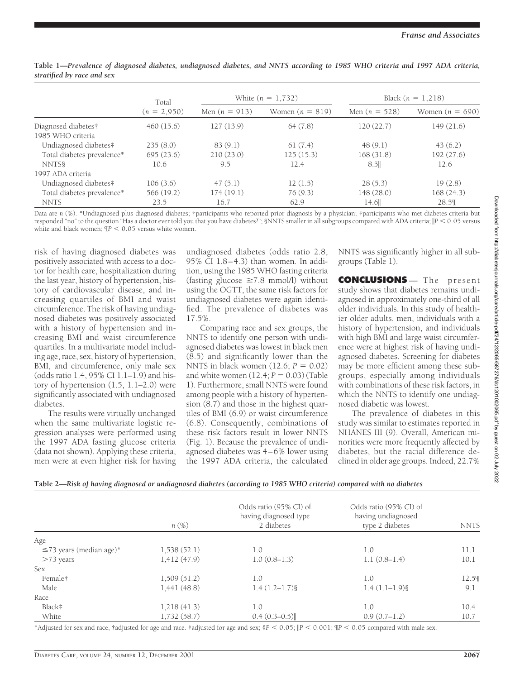|                                          | Total<br>$(n = 2,950)$ |                 | White $(n = 1, 732)$ | Black $(n = 1,218)$ |                   |  |
|------------------------------------------|------------------------|-----------------|----------------------|---------------------|-------------------|--|
|                                          |                        | Men $(n = 913)$ | Women $(n = 819)$    | Men $(n = 528)$     | Women $(n = 690)$ |  |
| Diagnosed diabetes†<br>1985 WHO criteria | 460(15.6)              | 127(13.9)       | 64(7.8)              | 120(22.7)           | 149(21.6)         |  |
| Undiagnosed diabetes#                    | 235(8.0)               | 83(9.1)         | 61(7.4)              | 48(9.1)             | 43(6.2)           |  |
| Total diabetes prevalence*               | 695(23.6)              | 210(23.0)       | 125(15.3)            | 168(31.8)           | 192(27.6)         |  |
| NNTS§                                    | 10.6                   | 9.5             | 12.4                 | 8.5                 | 12.6              |  |
| 1997 ADA criteria                        |                        |                 |                      |                     |                   |  |
| Undiagnosed diabetes#                    | 106(3.6)               | 47(5.1)         | 12(1.5)              | 28(5.3)             | 19(2.8)           |  |
| Total diabetes prevalence*               | 566 (19.2)             | 174(19.1)       | 76(9.3)              | 148(28.0)           | 168(24.3)         |  |
| <b>NNTS</b>                              | 23.5                   | 16.7            | 62.9                 | $14.6$              | 28.59             |  |

**Table 1—***Prevalence of diagnosed diabetes, undiagnosed diabetes, and NNTS according to 1985 WHO criteria and 1997 ADA criteria, stratified by race and sex*

Data are *n* (%). \*Undiagnosed plus diagnosed diabetes; †participants who reported prior diagnosis by a physician; ‡participants who met diabetes criteria but responded "no" to the question "Has a doctor ever told you that you have diabetes?"; §NNTS smaller in all subgroups compared with ADA criteria;  $\| P$   $< 0.05$  versus white and black women;  $IP < 0.05$  versus white women.

risk of having diagnosed diabetes was positively associated with access to a doctor for health care, hospitalization during the last year, history of hypertension, history of cardiovascular disease, and increasing quartiles of BMI and waist circumference. The risk of having undiagnosed diabetes was positively associated with a history of hypertension and increasing BMI and waist circumference quartiles. In a multivariate model including age, race, sex, history of hypertension, BMI, and circumference, only male sex (odds ratio 1.4, 95% CI 1.1–1.9) and history of hypertension (1.5, 1.1–2.0) were significantly associated with undiagnosed diabetes.

The results were virtually unchanged when the same multivariate logistic regression analyses were performed using the 1997 ADA fasting glucose criteria (data not shown). Applying these criteria, men were at even higher risk for having undiagnosed diabetes (odds ratio 2.8, 95% CI 1.8–4.3) than women. In addition, using the 1985 WHO fasting criteria (fasting glucose  $\geq 7.8$  mmol/l) without using the OGTT, the same risk factors for undiagnosed diabetes were again identified. The prevalence of diabetes was 17.5%.

Comparing race and sex groups, the NNTS to identify one person with undiagnosed diabetes was lowest in black men (8.5) and significantly lower than the NNTS in black women  $(12.6; P = 0.02)$ and white women  $(12.4; P = 0.03)$  (Table 1). Furthermore, small NNTS were found among people with a history of hypertension (8.7) and those in the highest quartiles of BMI (6.9) or waist circumference (6.8). Consequently, combinations of these risk factors result in lower NNTS (Fig. 1). Because the prevalence of undiagnosed diabetes was 4–6% lower using the 1997 ADA criteria, the calculated

NNTS was significantly higher in all subgroups (Table 1).

**CONCLUSIONS** — The present study shows that diabetes remains undiagnosed in approximately one-third of all older individuals. In this study of healthier older adults, men, individuals with a history of hypertension, and individuals with high BMI and large waist circumference were at highest risk of having undiagnosed diabetes. Screening for diabetes may be more efficient among these subgroups, especially among individuals with combinations of these risk factors, in which the NNTS to identify one undiagnosed diabetic was lowest.

The prevalence of diabetes in this study was similar to estimates reported in NHANES III (9). Overall, American minorities were more frequently affected by diabetes, but the racial difference declined in older age groups. Indeed, 22.7%

|                               | $n(\%)$     | Odds ratio (95% CI) of<br>having diagnosed type<br>2 diabetes | Odds ratio (95% CI) of<br>having undiagnosed<br>type 2 diabetes | <b>NNTS</b> |
|-------------------------------|-------------|---------------------------------------------------------------|-----------------------------------------------------------------|-------------|
| Age                           |             |                                                               |                                                                 |             |
| $\leq$ 73 years (median age)* | 1,538(52.1) | 1.0                                                           | 1.0                                                             | 11.1        |
| $>73$ years                   | 1,412(47.9) | $1.0(0.8-1.3)$                                                | $1.1(0.8-1.4)$                                                  | 10.1        |
| <b>Sex</b>                    |             |                                                               |                                                                 |             |
| Female†                       | 1,509(51.2) | 1.0                                                           | 1.0                                                             | 12.5%       |
| Male                          | 1,441(48.8) | $1.4(1.2-1.7)$ §                                              | $1.4(1.1-1.9)$ §                                                | 9.1         |
| Race                          |             |                                                               |                                                                 |             |
| Black‡                        | 1,218(41.3) | 1.0                                                           | 1.0                                                             | 10.4        |
| White                         | 1,732(58.7) | $0.4(0.3-0.5)$                                                | $0.9(0.7-1.2)$                                                  | 10.7        |

\*Adjusted for sex and race, †adjusted for age and race. ‡adjusted for age and sex; §*P* < 0.05;  $\|P$  < 0.001;  $\Phi$  < 0.05 compared with male sex.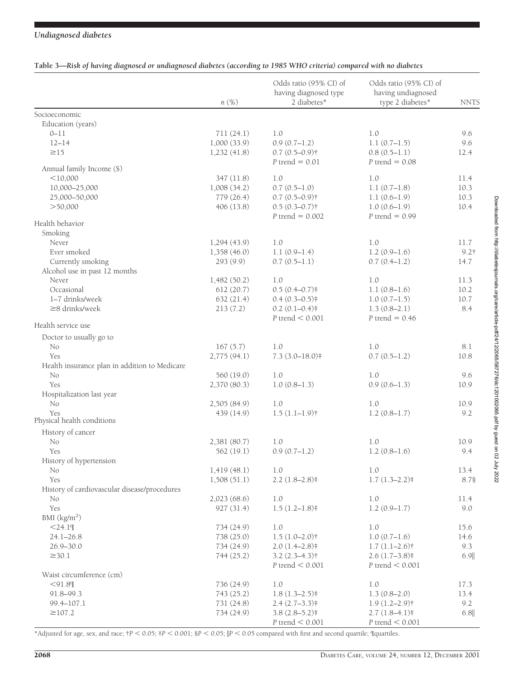## *Undiagnosed diabetes*

| Table 3—Risk of having diagnosed or undiagnosed diabetes (according to 1985 WHO criteria) compared with no diabetes |  |  |  |  |  |
|---------------------------------------------------------------------------------------------------------------------|--|--|--|--|--|
|                                                                                                                     |  |  |  |  |  |

|                                               | $n(\%)$      | Odds ratio (95% CI) of<br>having diagnosed type<br>2 diabetes* | Odds ratio (95% CI) of<br>having undiagnosed<br>type 2 diabetes* | <b>NNTS</b> |
|-----------------------------------------------|--------------|----------------------------------------------------------------|------------------------------------------------------------------|-------------|
| Socioeconomic                                 |              |                                                                |                                                                  |             |
| Education (years)                             |              |                                                                |                                                                  |             |
| $0 - 11$                                      | 711(24.1)    | 1.0                                                            | 1.0                                                              | 9.6         |
| $12 - 14$                                     | 1,000(33.9)  | $0.9(0.7-1.2)$                                                 | $1.1(0.7-1.5)$                                                   | 9.6         |
| $\geq$ 15                                     | 1,232(41.8)  | $0.7(0.5-0.9)$ †                                               | $0.8(0.5-1.1)$                                                   | 12.4        |
|                                               |              | $P$ trend = 0.01                                               | $P$ trend = 0.08                                                 |             |
| Annual family Income (\$)                     |              |                                                                |                                                                  |             |
| $<$ 10,000                                    | 347 (11.8)   | 1.0                                                            | 1.0                                                              | 11.4        |
| 10,000-25,000                                 | 1,008(34.2)  | $0.7(0.5-1.0)$                                                 | $1.1(0.7-1.8)$                                                   | 10.3        |
| 25,000-50,000                                 | 779 (26.4)   | $0.7(0.5 - 0.9)$ †                                             | $1.1(0.6-1.9)$                                                   | 10.3        |
| > 50,000                                      | 406(13.8)    | $0.5(0.3 - 0.7)$ †                                             | $1.0(0.6-1.9)$                                                   | 10.4        |
|                                               |              | $P$ trend = 0.002                                              | $P$ trend = 0.99                                                 |             |
| Health behavior                               |              |                                                                |                                                                  |             |
| Smoking                                       |              |                                                                |                                                                  |             |
| Never                                         | 1,294(43.9)  | 1.0                                                            | 1.0                                                              | 11.7        |
| Ever smoked                                   | 1,358(46.0)  | $1.1(0.9-1.4)$                                                 | $1.2(0.9-1.6)$                                                   | $9.2$ †     |
| Currently smoking                             | 293 (9.9)    | $0.7(0.5-1.1)$                                                 | $0.7(0.4-1.2)$                                                   | 14.7        |
| Alcohol use in past 12 months                 |              |                                                                |                                                                  |             |
| Never                                         | 1,482(50.2)  | 1.0                                                            | 1.0                                                              | 11.3        |
| Occasional                                    | 612 (20.7)   | $0.5(0.4 - 0.7)$                                               | $1.1(0.8-1.6)$                                                   | 10.2        |
| 1-7 drinks/week                               | 632(21.4)    | $0.4(0.3 - 0.5)$                                               | $1.0(0.7-1.5)$                                                   | 10.7        |
| $\geq$ 8 drinks/week                          | 213(7.2)     | $0.2(0.1-0.4)$                                                 | $1.3(0.8-2.1)$                                                   | 8.4         |
|                                               |              | $P$ trend $< 0.001$                                            | $P$ trend = 0.46                                                 |             |
| Health service use                            |              |                                                                |                                                                  |             |
| Doctor to usually go to                       |              |                                                                |                                                                  |             |
| No                                            | 167(5.7)     | 1.0                                                            | 1.0                                                              | 8.1         |
| Yes                                           | 2,775(94.1)  | $7.3(3.0 - 18.0)$                                              | $0.7(0.5-1.2)$                                                   | 10.8        |
| Health insurance plan in addition to Medicare |              |                                                                |                                                                  |             |
| No                                            | 560 (19.0)   | 1.0                                                            | 1.0                                                              | 9.6         |
| Yes                                           | 2,370 (80.3) | $1.0(0.8-1.3)$                                                 | $0.9(0.6-1.3)$                                                   | 10.9        |
| Hospitalization last year                     |              |                                                                |                                                                  |             |
| No                                            | 2,505 (84.9) | 1.0                                                            | 1.0                                                              | 10.9        |
| <b>Yes</b>                                    | 439 (14.9)   | $1.5(1.1-1.9)$ †                                               | $1.2(0.8-1.7)$                                                   | 9.2         |
| Physical health conditions                    |              |                                                                |                                                                  |             |
| History of cancer                             |              |                                                                |                                                                  |             |
| No                                            | 2,381 (80.7) | 1.0                                                            | 1.0                                                              | 10.9        |
| Yes                                           | 562 (19.1)   | $0.9(0.7-1.2)$                                                 | $1.2(0.8-1.6)$                                                   | 9.4         |
| History of hypertension                       |              |                                                                |                                                                  |             |
| No                                            | 1,419(48.1)  | $1.0\,$                                                        | $1.0\,$                                                          | 13.4        |
| Yes                                           | 1,508(51.1)  | $2.2(1.8-2.8)$                                                 | $1.7(1.3-2.2)*$                                                  | 8.78        |
| History of cardiovascular disease/procedures  |              |                                                                |                                                                  |             |
| No                                            | 2,023(68.6)  | 1.0                                                            | 1.0                                                              | 11.4        |
| Yes                                           | 927(31.4)    | $1.5(1.2-1.8)$                                                 | $1.2(0.9-1.7)$                                                   | 9.0         |
| BMI $(kg/m2)$                                 |              |                                                                |                                                                  |             |
| $<$ 24.19                                     | 734 (24.9)   | 1.0                                                            | 1.0                                                              | 15.6        |
| $24.1 - 26.8$                                 | 738 (25.0)   | $1.5(1.0-2.0)$ †                                               | $1.0(0.7-1.6)$                                                   | 14.6        |
|                                               |              |                                                                |                                                                  |             |
| $26.9 - 30.0$                                 | 734 (24.9)   | $2.0(1.4-2.8)$                                                 | $1.7(1.1-2.6)$ †                                                 | 9.3         |
| $\geq$ 30.1                                   | 744 (25.2)   | $3.2$ $(2.3-4.3)$ <sup>†</sup>                                 | $2.6(1.7-3.8)$                                                   | 6.9         |
|                                               |              | $P$ trend $< 0.001$                                            | $P$ trend $< 0.001$                                              |             |
| Waist circumference (cm)                      |              |                                                                |                                                                  |             |
| $<$ 91.89                                     | 736 (24.9)   | 1.0                                                            | $1.0\,$                                                          | 17.3        |
| 91.8-99.3                                     | 743 (25.2)   | $1.8(1.3-2.5)$                                                 | $1.3(0.8-2.0)$                                                   | 13.4        |
| 99.4-107.1                                    | 731 (24.8)   | $2.4(2.7-3.3)*$                                                | $1.9(1.2 - 2.9)$ †                                               | 9.2         |
| $\geq 107.2$                                  | 734 (24.9)   | $3.8(2.8-5.2)$                                                 | $2.7(1.8-4.1)$                                                   | 6.8         |
|                                               |              | $P$ trend $< 0.001$                                            | $P$ trend $< 0.001$                                              |             |

\*Adjusted for age, sex, and race;  $\dot{\tau}P < 0.05$ ;  $\dot{\tau}P < 0.001$ ;  $\dot{\text{g}}P < 0.05$ ;  $\vert P < 0.05$  compared with first and second quartile; quartiles.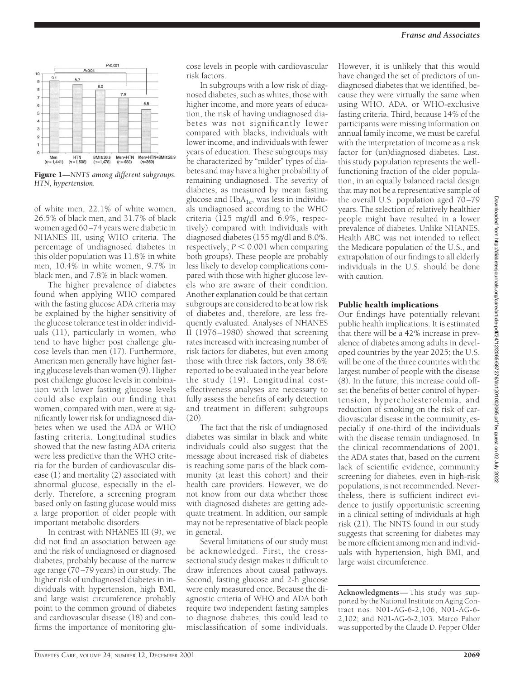

Figure 1—*NNTS among different subgroups. HTN, hypertension.*

of white men, 22.1% of white women, 26.5% of black men, and 31.7% of black women aged 60–74 years were diabetic in NHANES III, using WHO criteria. The percentage of undiagnosed diabetes in this older population was 11.8% in white men, 10.4% in white women, 9.7% in black men, and 7.8% in black women.

The higher prevalence of diabetes found when applying WHO compared with the fasting glucose ADA criteria may be explained by the higher sensitivity of the glucose tolerance test in older individuals (11), particularly in women, who tend to have higher post challenge glucose levels than men (17). Furthermore, American men generally have higher fasting glucose levels than women (9). Higher post challenge glucose levels in combination with lower fasting glucose levels could also explain our finding that women, compared with men, were at significantly lower risk for undiagnosed diabetes when we used the ADA or WHO fasting criteria. Longitudinal studies showed that the new fasting ADA criteria were less predictive than the WHO criteria for the burden of cardiovascular disease (1) and mortality (2) associated with abnormal glucose, especially in the elderly. Therefore, a screening program based only on fasting glucose would miss a large proportion of older people with important metabolic disorders.

In contrast with NHANES III (9), we did not find an association between age and the risk of undiagnosed or diagnosed diabetes, probably because of the narrow age range (70–79 years) in our study. The higher risk of undiagnosed diabetes in individuals with hypertension, high BMI, and large waist circumference probably point to the common ground of diabetes and cardiovascular disease (18) and confirms the importance of monitoring glucose levels in people with cardiovascular risk factors.

In subgroups with a low risk of diagnosed diabetes, such as whites, those with higher income, and more years of education, the risk of having undiagnosed diabetes was not significantly lower compared with blacks, individuals with lower income, and individuals with fewer years of education. These subgroups may be characterized by "milder" types of diabetes and may have a higher probability of remaining undiagnosed. The severity of diabetes, as measured by mean fasting glucose and  $HbA_{1c}$ , was less in individuals undiagnosed according to the WHO criteria (125 mg/dl and 6.9%, respectively) compared with individuals with diagnosed diabetes (155 mg/dl and 8.0%, respectively;  $P \leq 0.001$  when comparing both groups). These people are probably less likely to develop complications compared with those with higher glucose levels who are aware of their condition. Another explanation could be that certain subgroups are considered to be at low risk of diabetes and, therefore, are less frequently evaluated. Analyses of NHANES II (1976–1980) showed that screening rates increased with increasing number of risk factors for diabetes, but even among those with three risk factors, only 38.6% reported to be evaluated in the year before the study (19). Longitudinal costeffectiveness analyses are necessary to fully assess the benefits of early detection and treatment in different subgroups  $(20)$ 

The fact that the risk of undiagnosed diabetes was similar in black and white individuals could also suggest that the message about increased risk of diabetes is reaching some parts of the black community (at least this cohort) and their health care providers. However, we do not know from our data whether those with diagnosed diabetes are getting adequate treatment. In addition, our sample may not be representative of black people in general.

Several limitations of our study must be acknowledged. First, the crosssectional study design makes it difficult to draw inferences about causal pathways. Second, fasting glucose and 2-h glucose were only measured once. Because the diagnostic criteria of WHO and ADA both require two independent fasting samples to diagnose diabetes, this could lead to misclassification of some individuals.

However, it is unlikely that this would have changed the set of predictors of undiagnosed diabetes that we identified, because they were virtually the same when using WHO, ADA, or WHO-exclusive fasting criteria. Third, because 14% of the participants were missing information on annual family income, we must be careful with the interpretation of income as a risk factor for (un)diagnosed diabetes. Last, this study population represents the wellfunctioning fraction of the older population, in an equally balanced racial design that may not be a representative sample of the overall U.S. population aged 70–79 years. The selection of relatively healthier people might have resulted in a lower prevalence of diabetes. Unlike NHANES, Health ABC was not intended to reflect the Medicare population of the U.S., and extrapolation of our findings to all elderly individuals in the U.S. should be done with caution.

#### Public health implications

Our findings have potentially relevant public health implications. It is estimated that there will be a 42% increase in prevalence of diabetes among adults in developed countries by the year 2025; the U.S. will be one of the three countries with the largest number of people with the disease (8). In the future, this increase could offset the benefits of better control of hypertension, hypercholesterolemia, and reduction of smoking on the risk of cardiovascular disease in the community, especially if one-third of the individuals with the disease remain undiagnosed. In the clinical recommendations of 2001, the ADA states that, based on the current lack of scientific evidence, community screening for diabetes, even in high-risk populations, is not recommended. Nevertheless, there is sufficient indirect evidence to justify opportunistic screening in a clinical setting of individuals at high risk (21). The NNTS found in our study suggests that screening for diabetes may be more efficient among men and individuals with hypertension, high BMI, and large waist circumference.

**Acknowledgments**— This study was supported by the National Institute on Aging Contract nos. N01-AG-6-2,106; N01-AG-6- 2,102; and N01-AG-6-2,103. Marco Pahor was supported by the Claude D. Pepper Older